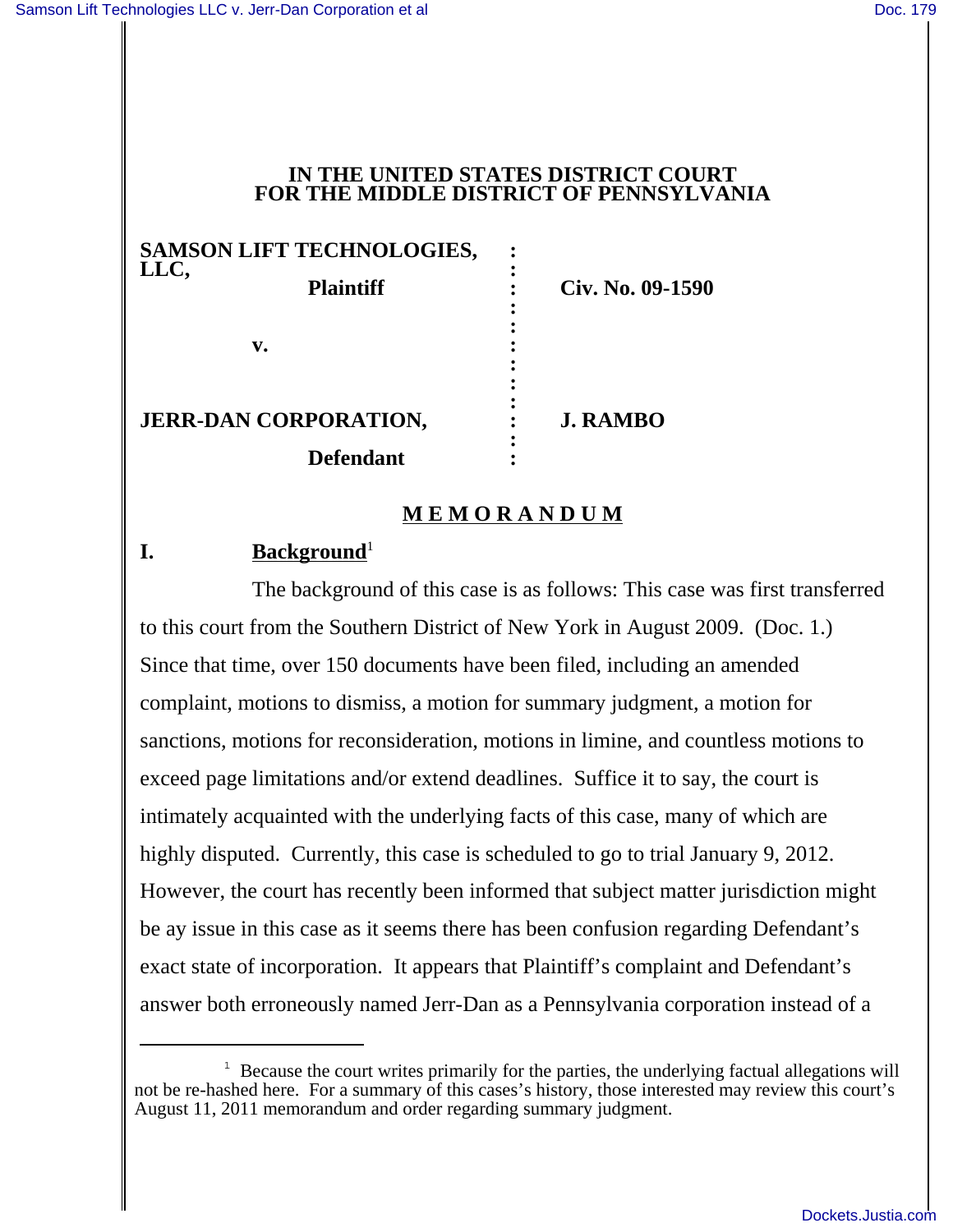### **IN THE UNITED STATES DISTRICT COURT FOR THE MIDDLE DISTRICT OF PENNSYLVANIA**

|                                                  | SAMSON LIFT TECHNOLOGIES,<br>LLC, |                  |  |
|--------------------------------------------------|-----------------------------------|------------------|--|
|                                                  | <b>Plaintiff</b>                  | Civ. No. 09-1590 |  |
|                                                  | v.                                |                  |  |
| <b>JERR-DAN CORPORATION,</b><br><b>Defendant</b> |                                   | <b>J. RAMBO</b>  |  |
|                                                  |                                   |                  |  |

## **M E M O R A N D U M**

# **I.** Background<sup>1</sup>

The background of this case is as follows: This case was first transferred to this court from the Southern District of New York in August 2009. (Doc. 1.) Since that time, over 150 documents have been filed, including an amended complaint, motions to dismiss, a motion for summary judgment, a motion for sanctions, motions for reconsideration, motions in limine, and countless motions to exceed page limitations and/or extend deadlines. Suffice it to say, the court is intimately acquainted with the underlying facts of this case, many of which are highly disputed. Currently, this case is scheduled to go to trial January 9, 2012. However, the court has recently been informed that subject matter jurisdiction might be ay issue in this case as it seems there has been confusion regarding Defendant's exact state of incorporation. It appears that Plaintiff's complaint and Defendant's answer both erroneously named Jerr-Dan as a Pennsylvania corporation instead of a

<sup>&</sup>lt;sup>1</sup> Because the court writes primarily for the parties, the underlying factual allegations will not be re-hashed here. For a summary of this cases's history, those interested may review this court's August 11, 2011 memorandum and order regarding summary judgment.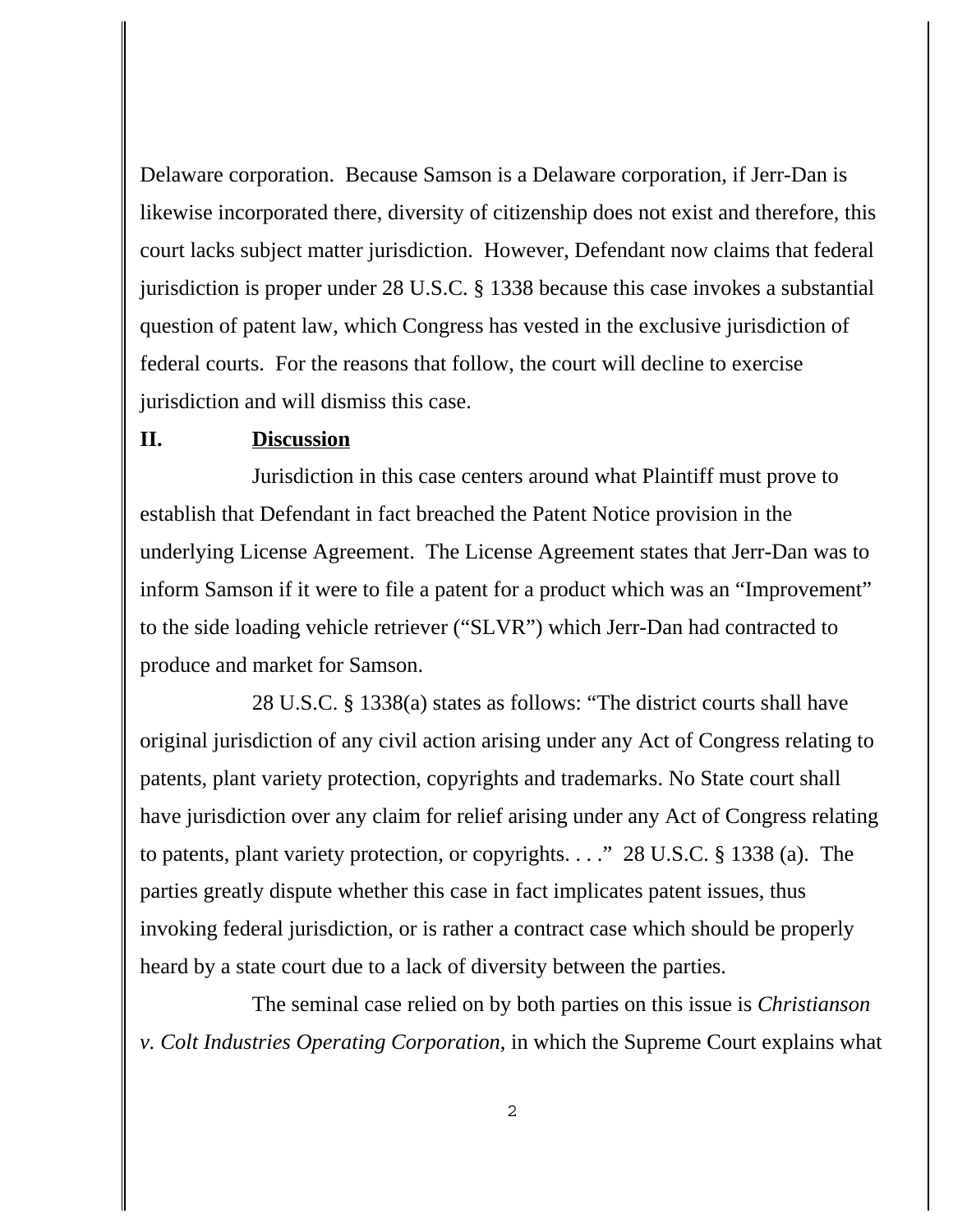Delaware corporation. Because Samson is a Delaware corporation, if Jerr-Dan is likewise incorporated there, diversity of citizenship does not exist and therefore, this court lacks subject matter jurisdiction. However, Defendant now claims that federal jurisdiction is proper under 28 U.S.C. § 1338 because this case invokes a substantial question of patent law, which Congress has vested in the exclusive jurisdiction of federal courts. For the reasons that follow, the court will decline to exercise jurisdiction and will dismiss this case.

#### **II. Discussion**

Jurisdiction in this case centers around what Plaintiff must prove to establish that Defendant in fact breached the Patent Notice provision in the underlying License Agreement. The License Agreement states that Jerr-Dan was to inform Samson if it were to file a patent for a product which was an "Improvement" to the side loading vehicle retriever ("SLVR") which Jerr-Dan had contracted to produce and market for Samson.

28 U.S.C. § 1338(a) states as follows: "The district courts shall have original jurisdiction of any civil action arising under any Act of Congress relating to patents, plant variety protection, copyrights and trademarks. No State court shall have jurisdiction over any claim for relief arising under any Act of Congress relating to patents, plant variety protection, or copyrights. . . ." 28 U.S.C. § 1338 (a). The parties greatly dispute whether this case in fact implicates patent issues, thus invoking federal jurisdiction, or is rather a contract case which should be properly heard by a state court due to a lack of diversity between the parties.

The seminal case relied on by both parties on this issue is *Christianson v. Colt Industries Operating Corporation*, in which the Supreme Court explains what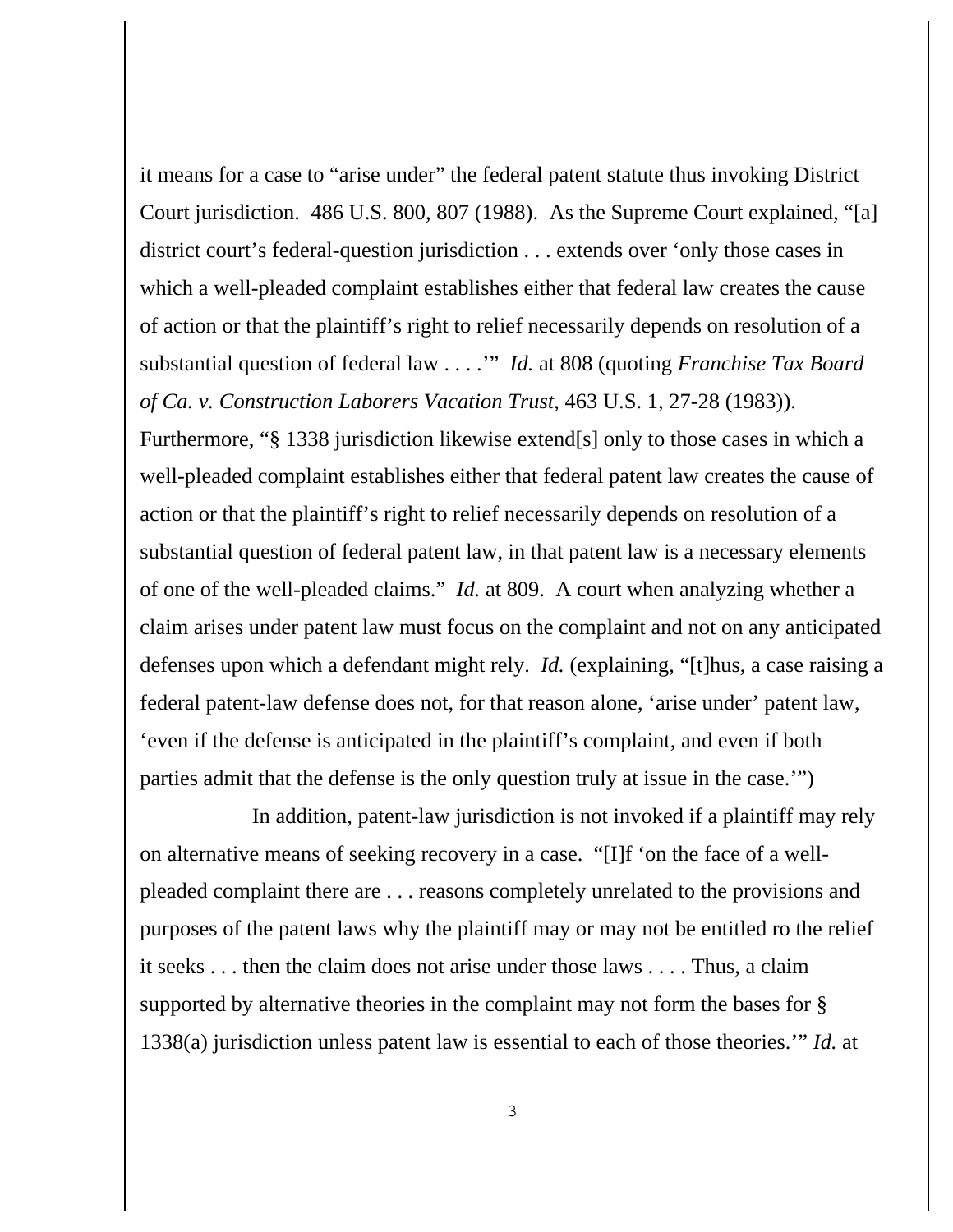it means for a case to "arise under" the federal patent statute thus invoking District Court jurisdiction. 486 U.S. 800, 807 (1988). As the Supreme Court explained, "[a] district court's federal-question jurisdiction . . . extends over 'only those cases in which a well-pleaded complaint establishes either that federal law creates the cause of action or that the plaintiff's right to relief necessarily depends on resolution of a substantial question of federal law . . . .'" *Id.* at 808 (quoting *Franchise Tax Board of Ca. v. Construction Laborers Vacation Trust*, 463 U.S. 1, 27-28 (1983)).

Furthermore, "§ 1338 jurisdiction likewise extend[s] only to those cases in which a well-pleaded complaint establishes either that federal patent law creates the cause of action or that the plaintiff's right to relief necessarily depends on resolution of a substantial question of federal patent law, in that patent law is a necessary elements of one of the well-pleaded claims." *Id.* at 809. A court when analyzing whether a claim arises under patent law must focus on the complaint and not on any anticipated defenses upon which a defendant might rely. *Id.* (explaining, "[t]hus, a case raising a federal patent-law defense does not, for that reason alone, 'arise under' patent law, 'even if the defense is anticipated in the plaintiff's complaint, and even if both parties admit that the defense is the only question truly at issue in the case.'")

In addition, patent-law jurisdiction is not invoked if a plaintiff may rely on alternative means of seeking recovery in a case. "[I]f 'on the face of a wellpleaded complaint there are . . . reasons completely unrelated to the provisions and purposes of the patent laws why the plaintiff may or may not be entitled ro the relief it seeks . . . then the claim does not arise under those laws . . . . Thus, a claim supported by alternative theories in the complaint may not form the bases for § 1338(a) jurisdiction unless patent law is essential to each of those theories.'" *Id.* at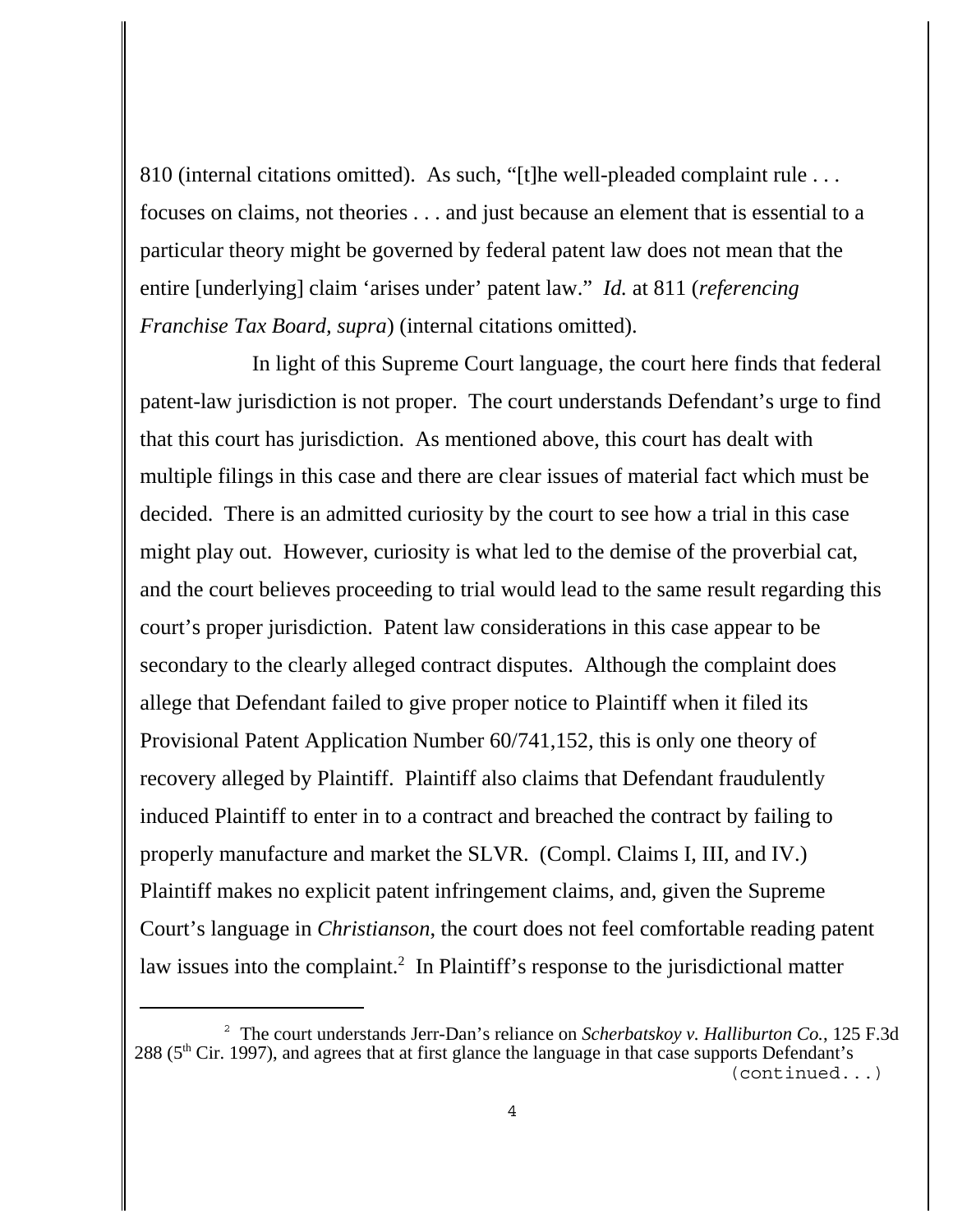810 (internal citations omitted). As such, "[t]he well-pleaded complaint rule . . . focuses on claims, not theories . . . and just because an element that is essential to a particular theory might be governed by federal patent law does not mean that the entire [underlying] claim 'arises under' patent law." *Id.* at 811 (*referencing Franchise Tax Board, supra*) (internal citations omitted).

In light of this Supreme Court language, the court here finds that federal patent-law jurisdiction is not proper. The court understands Defendant's urge to find that this court has jurisdiction. As mentioned above, this court has dealt with multiple filings in this case and there are clear issues of material fact which must be decided. There is an admitted curiosity by the court to see how a trial in this case might play out. However, curiosity is what led to the demise of the proverbial cat, and the court believes proceeding to trial would lead to the same result regarding this court's proper jurisdiction. Patent law considerations in this case appear to be secondary to the clearly alleged contract disputes. Although the complaint does allege that Defendant failed to give proper notice to Plaintiff when it filed its Provisional Patent Application Number 60/741,152, this is only one theory of recovery alleged by Plaintiff. Plaintiff also claims that Defendant fraudulently induced Plaintiff to enter in to a contract and breached the contract by failing to properly manufacture and market the SLVR. (Compl. Claims I, III, and IV.) Plaintiff makes no explicit patent infringement claims, and, given the Supreme Court's language in *Christianson*, the court does not feel comfortable reading patent law issues into the complaint.<sup>2</sup> In Plaintiff's response to the jurisdictional matter

<sup>2</sup> The court understands Jerr-Dan's reliance on *Scherbatskoy v. Halliburton Co.*, 125 F.3d 288 (5<sup>th</sup> Cir. 1997), and agrees that at first glance the language in that case supports Defendant's (continued...)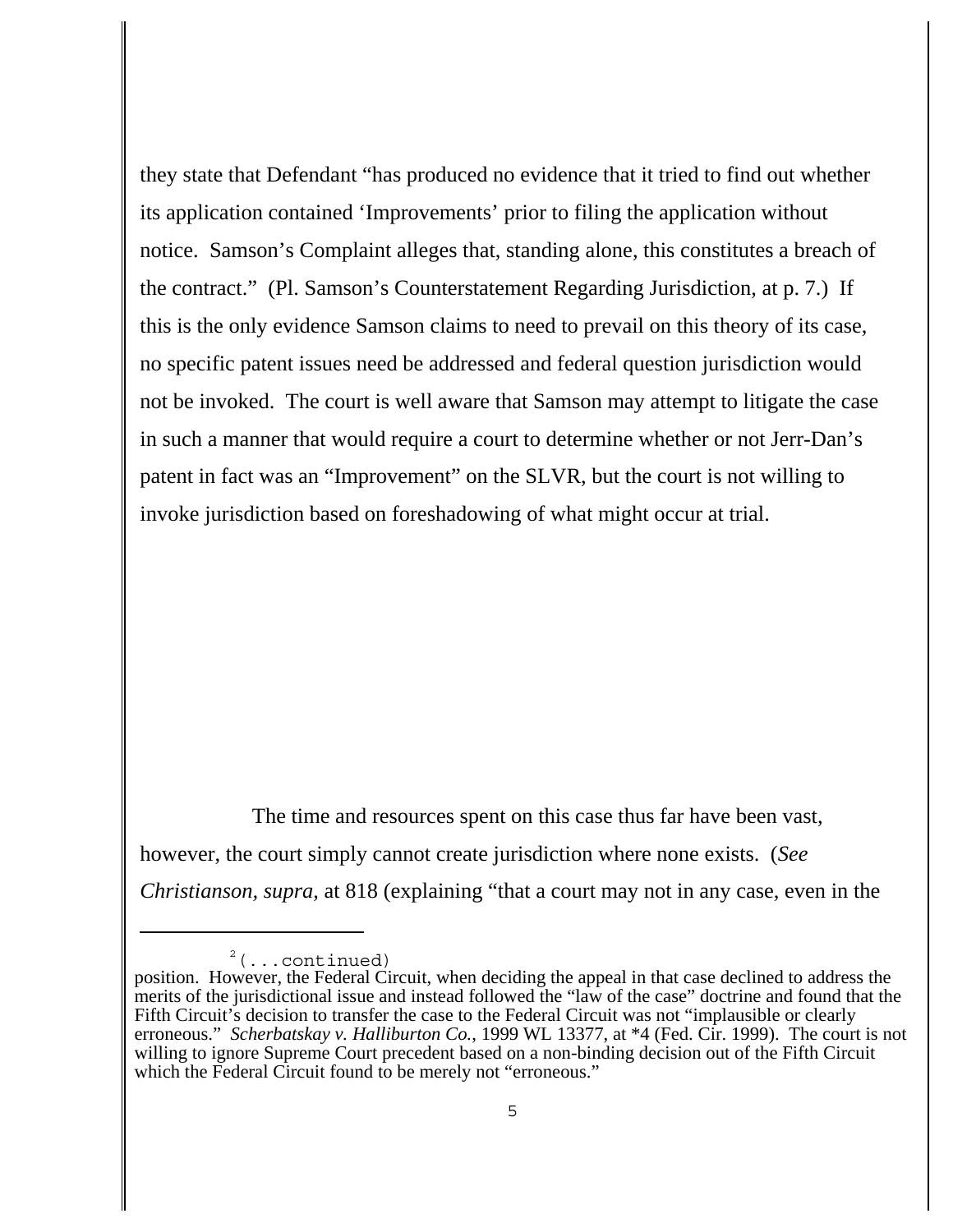they state that Defendant "has produced no evidence that it tried to find out whether its application contained 'Improvements' prior to filing the application without notice. Samson's Complaint alleges that, standing alone, this constitutes a breach of the contract." (Pl. Samson's Counterstatement Regarding Jurisdiction, at p. 7.) If this is the only evidence Samson claims to need to prevail on this theory of its case, no specific patent issues need be addressed and federal question jurisdiction would not be invoked. The court is well aware that Samson may attempt to litigate the case in such a manner that would require a court to determine whether or not Jerr-Dan's patent in fact was an "Improvement" on the SLVR, but the court is not willing to invoke jurisdiction based on foreshadowing of what might occur at trial.

The time and resources spent on this case thus far have been vast, however, the court simply cannot create jurisdiction where none exists. (*See Christianson, supra*, at 818 (explaining "that a court may not in any case, even in the

 $2^2$  (...continued)

position. However, the Federal Circuit, when deciding the appeal in that case declined to address the merits of the jurisdictional issue and instead followed the "law of the case" doctrine and found that the Fifth Circuit's decision to transfer the case to the Federal Circuit was not "implausible or clearly erroneous." *Scherbatskay v. Halliburton Co.*, 1999 WL 13377, at \*4 (Fed. Cir. 1999). The court is not willing to ignore Supreme Court precedent based on a non-binding decision out of the Fifth Circuit which the Federal Circuit found to be merely not "erroneous."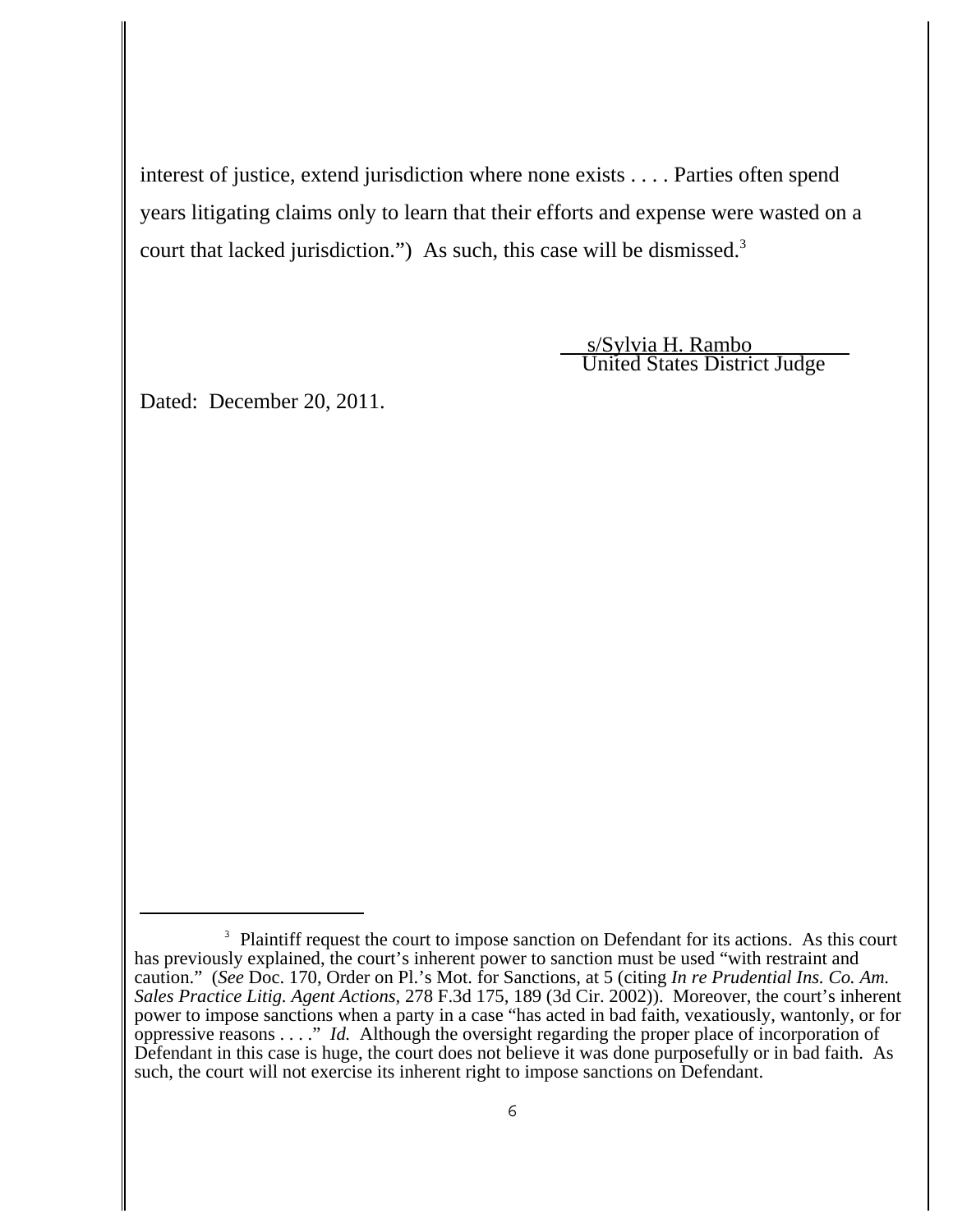interest of justice, extend jurisdiction where none exists . . . . Parties often spend years litigating claims only to learn that their efforts and expense were wasted on a court that lacked jurisdiction.") As such, this case will be dismissed.<sup>3</sup>

> s/Sylvia H. Rambo United States District Judge

Dated: December 20, 2011.

<sup>&</sup>lt;sup>3</sup> Plaintiff request the court to impose sanction on Defendant for its actions. As this court has previously explained, the court's inherent power to sanction must be used "with restraint and caution." (*See* Doc. 170, Order on Pl.'s Mot. for Sanctions, at 5 (citing *In re Prudential Ins. Co. Am. Sales Practice Litig. Agent Actions*, 278 F.3d 175, 189 (3d Cir. 2002)). Moreover, the court's inherent power to impose sanctions when a party in a case "has acted in bad faith, vexatiously, wantonly, or for oppressive reasons . . . ." *Id.* Although the oversight regarding the proper place of incorporation of Defendant in this case is huge, the court does not believe it was done purposefully or in bad faith. As such, the court will not exercise its inherent right to impose sanctions on Defendant.